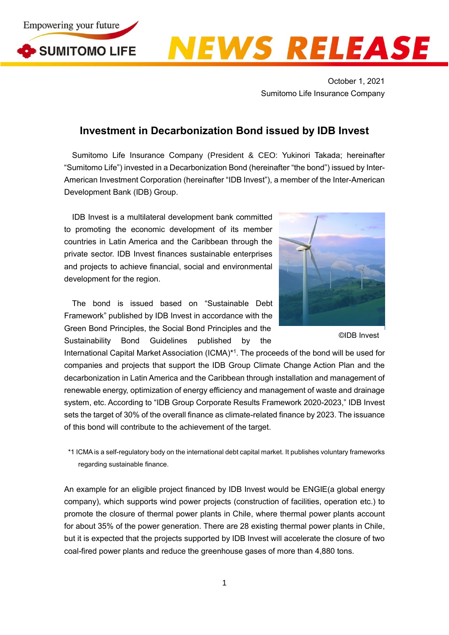



## **NEWS RELEASE**

October 1, 2021 Sumitomo Life Insurance Company

## **Investment in Decarbonization Bond issued by IDB Invest**

Sumitomo Life Insurance Company (President & CEO: Yukinori Takada; hereinafter "Sumitomo Life") invested in a Decarbonization Bond (hereinafter "the bond") issued by Inter-American Investment Corporation (hereinafter "IDB Invest"), a member of the Inter-American Development Bank (IDB) Group.

IDB Invest is a multilateral development bank committed to promoting the economic development of its member countries in Latin America and the Caribbean through the private sector. IDB Invest finances sustainable enterprises and projects to achieve financial, social and environmental development for the region.

The bond is issued based on "Sustainable Debt Framework" published by IDB Invest in accordance with the Green Bond Principles, the Social Bond Principles and the Sustainability Bond Guidelines published by the



©IDB Invest

International Capital Market Association (ICMA)<sup>\*1</sup>. The proceeds of the bond will be used for companies and projects that support the IDB Group Climate Change Action Plan and the decarbonization in Latin America and the Caribbean through installation and management of renewable energy, optimization of energy efficiency and management of waste and drainage system, etc. According to "IDB Group Corporate Results Framework 2020-2023," IDB Invest sets the target of 30% of the overall finance as climate-related finance by 2023. The issuance of this bond will contribute to the achievement of the target.

\*1 ICMA is a self-regulatory body on the international debt capital market. It publishes voluntary frameworks regarding sustainable finance.

An example for an eligible project financed by IDB Invest would be ENGIE(a global energy company), which supports wind power projects (construction of facilities, operation etc.) to promote the closure of thermal power plants in Chile, where thermal power plants account for about 35% of the power generation. There are 28 existing thermal power plants in Chile, but it is expected that the projects supported by IDB Invest will accelerate the closure of two coal-fired power plants and reduce the greenhouse gases of more than 4,880 tons.